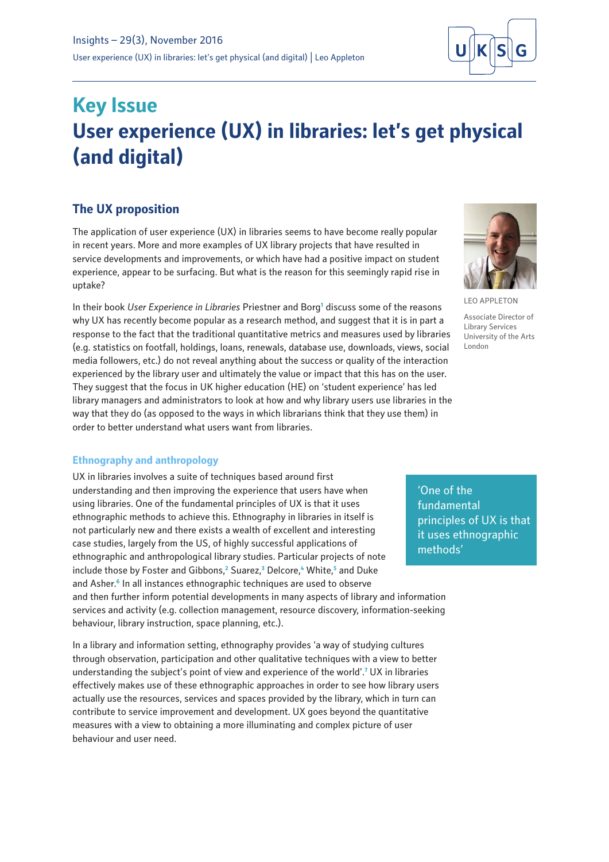

# **Key Issue User experience (UX) in libraries: let's get physical (and digital)**

# **The UX proposition**

The application of user experience (UX) in libraries seems to have become really popular in recent years. More and more examples of UX library projects that have resulted in service developments and improvements, or which have had a positive impact on student experience, appear to be surfacing. But what is the reason for this seemingly rapid rise in uptake?

In their book *User Experience in Libraries* Priestner and Borg**<sup>1</sup>** discuss some of the reasons why UX has recently become popular as a research method, and suggest that it is in part a response to the fact that the traditional quantitative metrics and measures used by libraries (e.g. statistics on footfall, holdings, loans, renewals, database use, downloads, views, social media followers, etc.) do not reveal anything about the success or quality of the interaction experienced by the library user and ultimately the value or impact that this has on the user. They suggest that the focus in UK higher education (HE) on 'student experience' has led library managers and administrators to look at how and why library users use libraries in the way that they do (as opposed to the ways in which librarians think that they use them) in order to better understand what users want from libraries.

### **Ethnography and anthropology**

UX in libraries involves a suite of techniques based around first understanding and then improving the experience that users have when using libraries. One of the fundamental principles of UX is that it uses ethnographic methods to achieve this. Ethnography in libraries in itself is not particularly new and there exists a wealth of excellent and interesting case studies, largely from the US, of highly successful applications of ethnographic and anthropological library studies. Particular projects of note include those by Foster and Gibbons,<sup>2</sup> Suarez,<sup>3</sup> Delcore,<sup>4</sup> White,<sup>5</sup> and Duke and Asher.**<sup>6</sup>** In all instances ethnographic techniques are used to observe and then further inform potential developments in many aspects of library and information services and activity (e.g. collection management, resource discovery, information-seeking behaviour, library instruction, space planning, etc.).

In a library and information setting, ethnography provides 'a way of studying cultures through observation, participation and other qualitative techniques with a view to better understanding the subject's point of view and experience of the world'.**<sup>7</sup>** UX in libraries effectively makes use of these ethnographic approaches in order to see how library users actually use the resources, services and spaces provided by the library, which in turn can contribute to service improvement and development. UX goes beyond the quantitative measures with a view to obtaining a more illuminating and complex picture of user behaviour and user need.





LEO APPLETON Associate Director of Library Services University of the Arts London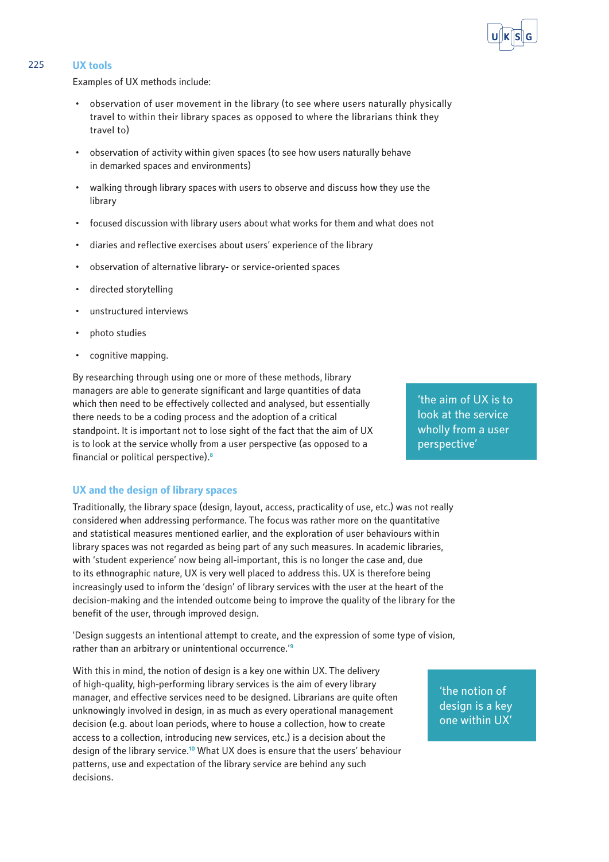#### 225 **UX tools**

Examples of UX methods include:

- observation of user movement in the library (to see where users naturally physically travel to within their library spaces as opposed to where the librarians think they travel to)
- observation of activity within given spaces (to see how users naturally behave in demarked spaces and environments)
- walking through library spaces with users to observe and discuss how they use the library
- focused discussion with library users about what works for them and what does not
- diaries and reflective exercises about users' experience of the library
- observation of alternative library- or service-oriented spaces
- directed storytelling
- unstructured interviews
- photo studies
- cognitive mapping.

By researching through using one or more of these methods, library managers are able to generate significant and large quantities of data which then need to be effectively collected and analysed, but essentially there needs to be a coding process and the adoption of a critical standpoint. It is important not to lose sight of the fact that the aim of UX is to look at the service wholly from a user perspective (as opposed to a financial or political perspective).**<sup>8</sup>**

**UX and the design of library spaces**

Traditionally, the library space (design, layout, access, practicality of use, etc.) was not really considered when addressing performance. The focus was rather more on the quantitative and statistical measures mentioned earlier, and the exploration of user behaviours within library spaces was not regarded as being part of any such measures. In academic libraries, with 'student experience' now being all-important, this is no longer the case and, due to its ethnographic nature, UX is very well placed to address this. UX is therefore being increasingly used to inform the 'design' of library services with the user at the heart of the decision-making and the intended outcome being to improve the quality of the library for the benefit of the user, through improved design.

'Design suggests an intentional attempt to create, and the expression of some type of vision, rather than an arbitrary or unintentional occurrence.'**<sup>9</sup>**

With this in mind, the notion of design is a key one within UX. The delivery of high-quality, high-performing library services is the aim of every library manager, and effective services need to be designed. Librarians are quite often unknowingly involved in design, in as much as every operational management decision (e.g. about loan periods, where to house a collection, how to create access to a collection, introducing new services, etc.) is a decision about the design of the library service.**<sup>10</sup>** What UX does is ensure that the users' behaviour patterns, use and expectation of the library service are behind any such decisions.

wholly from a user perspective'

'the aim of UX is to look at the service

> 'the notion of design is a key one within UX'

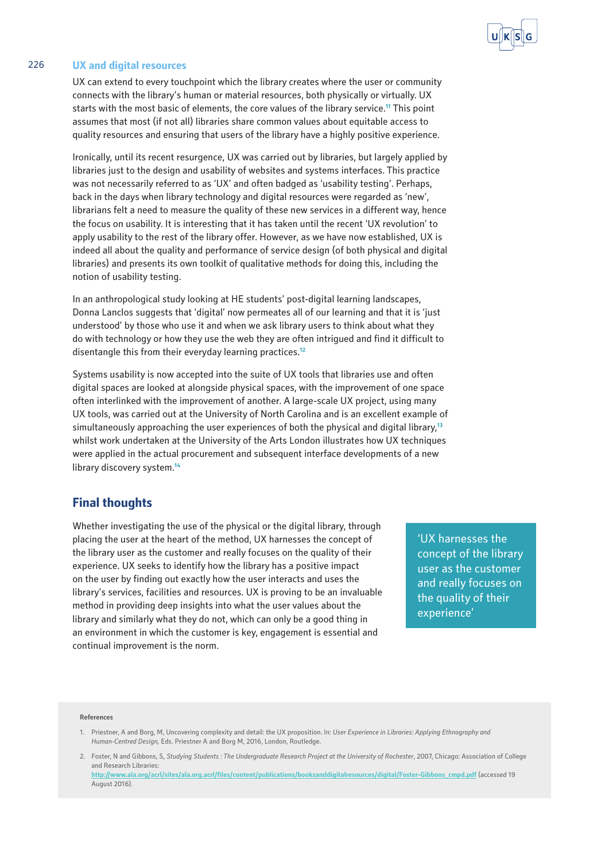

#### 226 **UX and digital resources**

UX can extend to every touchpoint which the library creates where the user or community connects with the library's human or material resources, both physically or virtually. UX starts with the most basic of elements, the core values of the library service.**<sup>11</sup>** This point assumes that most (if not all) libraries share common values about equitable access to quality resources and ensuring that users of the library have a highly positive experience.

Ironically, until its recent resurgence, UX was carried out by libraries, but largely applied by libraries just to the design and usability of websites and systems interfaces. This practice was not necessarily referred to as 'UX' and often badged as 'usability testing'. Perhaps, back in the days when library technology and digital resources were regarded as 'new', librarians felt a need to measure the quality of these new services in a different way, hence the focus on usability. It is interesting that it has taken until the recent 'UX revolution' to apply usability to the rest of the library offer. However, as we have now established, UX is indeed all about the quality and performance of service design (of both physical and digital libraries) and presents its own toolkit of qualitative methods for doing this, including the notion of usability testing.

In an anthropological study looking at HE students' post-digital learning landscapes, Donna Lanclos suggests that 'digital' now permeates all of our learning and that it is 'just understood' by those who use it and when we ask library users to think about what they do with technology or how they use the web they are often intrigued and find it difficult to disentangle this from their everyday learning practices.**<sup>12</sup>**

Systems usability is now accepted into the suite of UX tools that libraries use and often digital spaces are looked at alongside physical spaces, with the improvement of one space often interlinked with the improvement of another. A large-scale UX project, using many UX tools, was carried out at the University of North Carolina and is an excellent example of simultaneously approaching the user experiences of both the physical and digital library,**<sup>13</sup>** whilst work undertaken at the University of the Arts London illustrates how UX techniques were applied in the actual procurement and subsequent interface developments of a new library discovery system.**<sup>14</sup>**

## **Final thoughts**

Whether investigating the use of the physical or the digital library, through placing the user at the heart of the method, UX harnesses the concept of the library user as the customer and really focuses on the quality of their experience. UX seeks to identify how the library has a positive impact on the user by finding out exactly how the user interacts and uses the library's services, facilities and resources. UX is proving to be an invaluable method in providing deep insights into what the user values about the library and similarly what they do not, which can only be a good thing in an environment in which the customer is key, engagement is essential and continual improvement is the norm.

'UX harnesses the concept of the library user as the customer and really focuses on the quality of their experience'

#### **References**

1. Priestner, A and Borg, M, Uncovering complexity and detail: the UX proposition. In: *User Experience in Libraries: Applying Ethnography and Human-Centred Design,* Eds. Priestner A and Borg M, 2016, London, Routledge.

<sup>2.</sup> Foster, N and Gibbons, S, *Studying Students : The Undergraduate Research Project at the University of Rochester*, 2007, Chicago: Association of College and Research Libraries: **[http://www.ala.org/acrl/sites/ala.org.acrl/files/content/publications/booksanddigitalresources/digital/Foster-Gibbons\\_cmpd.pdf](http://www.ala.org/acrl/sites/ala.org.acrl/files/content/publications/booksanddigitalresources/digital/Foster-Gibbons_cmpd.pdf)** (accessed 19

August 2016).